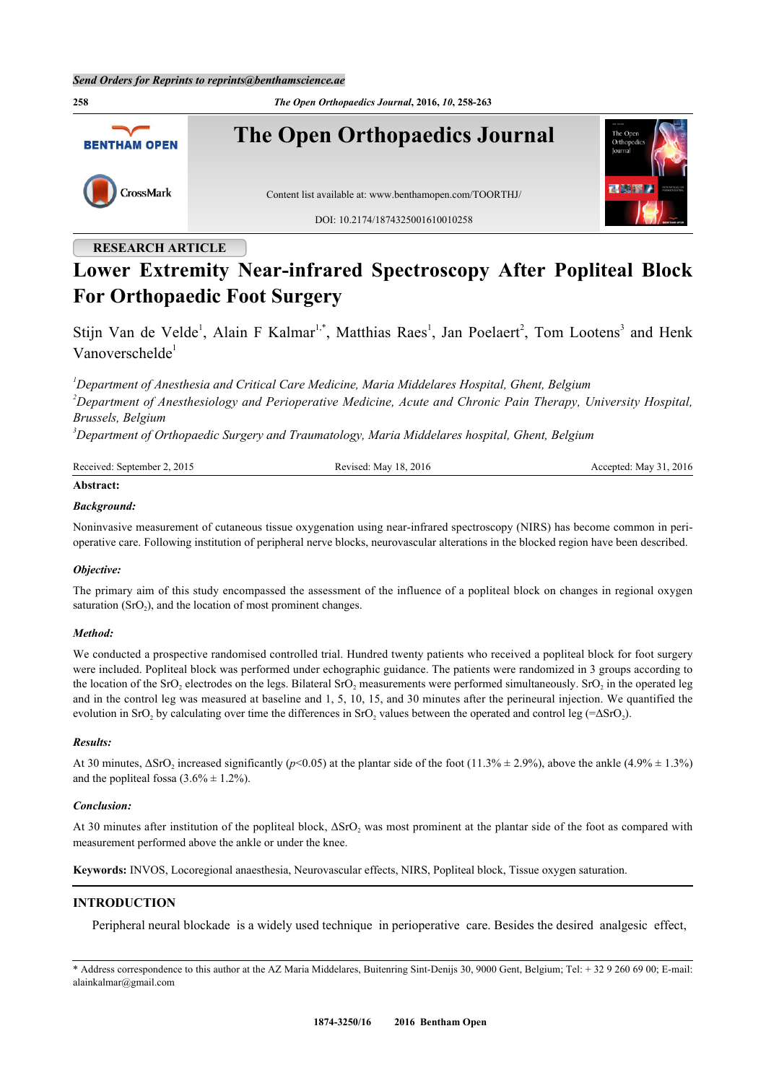

## **RESEARCH ARTICLE**

# **Lower Extremity Near-infrared Spectroscopy After Popliteal Block For Orthopaedic Foot Surgery**

Stijn Van de Velde<sup>[1](#page-0-0)</sup>, Alain F Kalmar<sup>1[,\\*](#page-0-1)</sup>, Matthias Raes<sup>1</sup>, Jan Poelaert<sup>[2](#page-0-2)</sup>, Tom Lootens<sup>[3](#page-0-3)</sup> and Henk Vanoverschelde<sup>[1](#page-0-0)</sup>

<span id="page-0-2"></span><span id="page-0-0"></span>*<sup>1</sup>Department of Anesthesia and Critical Care Medicine, Maria Middelares Hospital, Ghent, Belgium <sup>2</sup>Department of Anesthesiology and Perioperative Medicine, Acute and Chronic Pain Therapy, University Hospital, Brussels, Belgium*

<span id="page-0-3"></span>*<sup>3</sup>Department of Orthopaedic Surgery and Traumatology, Maria Middelares hospital, Ghent, Belgium*

| Received: September 2, 2015 | Revised: May 18, 2016 | Accepted: May 31, 2016 |
|-----------------------------|-----------------------|------------------------|
| Abstract:                   |                       |                        |

#### *Background:*

Noninvasive measurement of cutaneous tissue oxygenation using near-infrared spectroscopy (NIRS) has become common in perioperative care. Following institution of peripheral nerve blocks, neurovascular alterations in the blocked region have been described.

#### *Objective:*

The primary aim of this study encompassed the assessment of the influence of a popliteal block on changes in regional oxygen saturation  $(SrO<sub>2</sub>)$ , and the location of most prominent changes.

### *Method:*

We conducted a prospective randomised controlled trial. Hundred twenty patients who received a popliteal block for foot surgery were included. Popliteal block was performed under echographic guidance. The patients were randomized in 3 groups according to the location of the SrO<sub>2</sub> electrodes on the legs. Bilateral SrO<sub>2</sub> measurements were performed simultaneously. SrO<sub>2</sub> in the operated leg and in the control leg was measured at baseline and 1, 5, 10, 15, and 30 minutes after the perineural injection. We quantified the evolution in SrO<sub>2</sub> by calculating over time the differences in SrO<sub>2</sub> values between the operated and control leg (= $\Delta$ SrO<sub>2</sub>).

#### *Results:*

At 30 minutes,  $\Delta$ SrO<sub>2</sub> increased significantly ( $p$ <0.05) at the plantar side of the foot (11.3%  $\pm$  2.9%), above the ankle (4.9%  $\pm$  1.3%) and the popliteal fossa  $(3.6\% \pm 1.2\%)$ .

#### *Conclusion:*

At 30 minutes after institution of the popliteal block,  $\Delta$ SrO<sub>2</sub> was most prominent at the plantar side of the foot as compared with measurement performed above the ankle or under the knee.

**Keywords:** INVOS, Locoregional anaesthesia, Neurovascular effects, NIRS, Popliteal block, Tissue oxygen saturation.

### **INTRODUCTION**

Peripheral neural blockade is a widely used technique in perioperative care. Besides the desired analgesic effect,

<span id="page-0-1"></span>\* Address correspondence to this author at the AZ Maria Middelares, Buitenring Sint-Denijs 30, 9000 Gent, Belgium; Tel: + 32 9 260 69 00; E-mail: [alainkalmar@gmail.com](mailto:alainkalmar@gmail.com)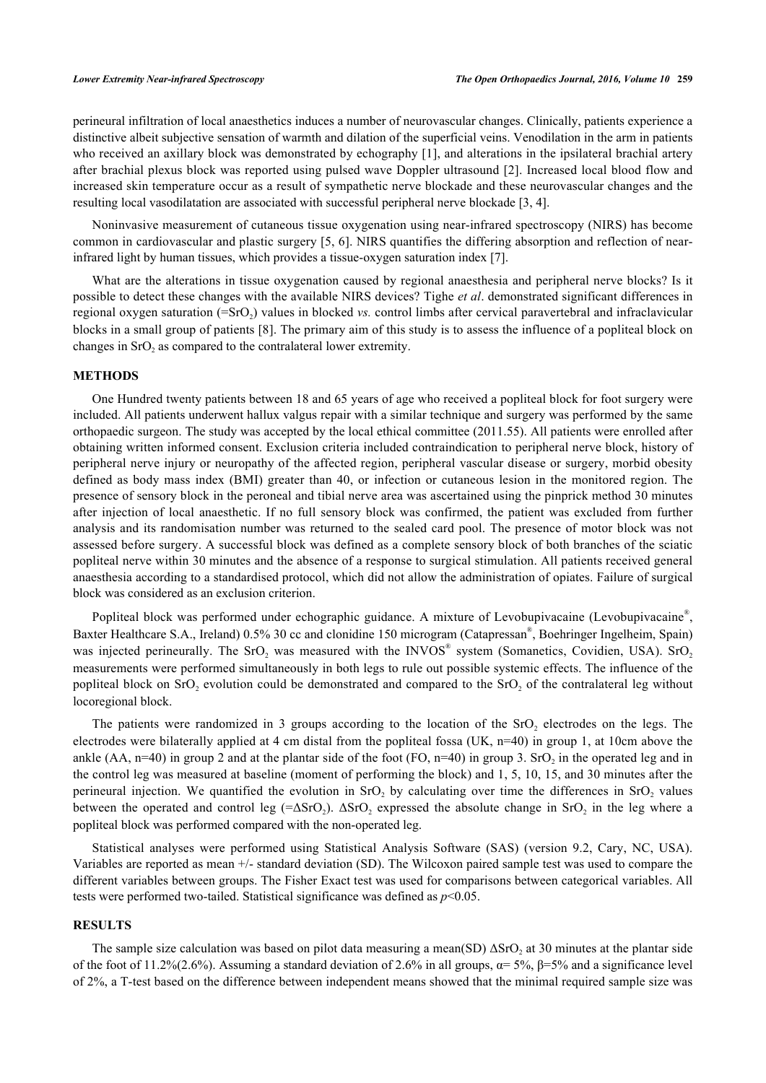perineural infiltration of local anaesthetics induces a number of neurovascular changes. Clinically, patients experience a distinctive albeit subjective sensation of warmth and dilation of the superficial veins. Venodilation in the arm in patients who received an axillary block was demonstrated by echography [\[1](#page-4-0)], and alterations in the ipsilateral brachial artery after brachial plexus block was reported using pulsed wave Doppler ultrasound [[2](#page-4-1)]. Increased local blood flow and increased skin temperature occur as a result of sympathetic nerve blockade and these neurovascular changes and the resulting local vasodilatation are associated with successful peripheral nerve blockade [[3,](#page-4-2) [4\]](#page-4-3).

Noninvasive measurement of cutaneous tissue oxygenation using near-infrared spectroscopy (NIRS) has become common in cardiovascular and plastic surgery [[5,](#page-4-4) [6](#page-4-5)]. NIRS quantifies the differing absorption and reflection of nearinfrared light by human tissues, which provides a tissue-oxygen saturation index [\[7](#page-4-6)].

What are the alterations in tissue oxygenation caused by regional anaesthesia and peripheral nerve blocks? Is it possible to detect these changes with the available NIRS devices? Tighe *et al*. demonstrated significant differences in regional oxygen saturation (=SrO<sub>2</sub>) values in blocked *vs.* control limbs after cervical paravertebral and infraclavicular blocks in a small group of patients [\[8](#page-4-7)]. The primary aim of this study is to assess the influence of a popliteal block on changes in  $SrO<sub>2</sub>$  as compared to the contralateral lower extremity.

#### **METHODS**

One Hundred twenty patients between 18 and 65 years of age who received a popliteal block for foot surgery were included. All patients underwent hallux valgus repair with a similar technique and surgery was performed by the same orthopaedic surgeon. The study was accepted by the local ethical committee (2011.55). All patients were enrolled after obtaining written informed consent. Exclusion criteria included contraindication to peripheral nerve block, history of peripheral nerve injury or neuropathy of the affected region, peripheral vascular disease or surgery, morbid obesity defined as body mass index (BMI) greater than 40, or infection or cutaneous lesion in the monitored region. The presence of sensory block in the peroneal and tibial nerve area was ascertained using the pinprick method 30 minutes after injection of local anaesthetic. If no full sensory block was confirmed, the patient was excluded from further analysis and its randomisation number was returned to the sealed card pool. The presence of motor block was not assessed before surgery. A successful block was defined as a complete sensory block of both branches of the sciatic popliteal nerve within 30 minutes and the absence of a response to surgical stimulation. All patients received general anaesthesia according to a standardised protocol, which did not allow the administration of opiates. Failure of surgical block was considered as an exclusion criterion.

Popliteal block was performed under echographic guidance. A mixture of Levobupivacaine (Levobupivacaine®, Baxter Healthcare S.A., Ireland) 0.5% 30 cc and clonidine 150 microgram (Catapressan®, Boehringer Ingelheim, Spain) was injected perineurally. The SrO<sub>2</sub> was measured with the INVOS<sup>®</sup> system (Somanetics, Covidien, USA). SrO<sub>2</sub> measurements were performed simultaneously in both legs to rule out possible systemic effects. The influence of the popliteal block on SrO<sub>2</sub> evolution could be demonstrated and compared to the SrO<sub>2</sub> of the contralateral leg without locoregional block.

The patients were randomized in 3 groups according to the location of the  $SrO<sub>2</sub>$  electrodes on the legs. The electrodes were bilaterally applied at 4 cm distal from the popliteal fossa (UK,  $n=40$ ) in group 1, at 10cm above the ankle  $(AA, n=40)$  in group 2 and at the plantar side of the foot (FO, n=40) in group 3. SrO<sub>2</sub> in the operated leg and in the control leg was measured at baseline (moment of performing the block) and 1, 5, 10, 15, and 30 minutes after the perineural injection. We quantified the evolution in  $SrO<sub>2</sub>$  by calculating over time the differences in  $SrO<sub>2</sub>$  values between the operated and control leg (= $\Delta$ SrO<sub>2</sub>).  $\Delta$ SrO<sub>2</sub> expressed the absolute change in SrO<sub>2</sub> in the leg where a popliteal block was performed compared with the non-operated leg.

Statistical analyses were performed using Statistical Analysis Software (SAS) (version 9.2, Cary, NC, USA). Variables are reported as mean +/- standard deviation (SD). The Wilcoxon paired sample test was used to compare the different variables between groups. The Fisher Exact test was used for comparisons between categorical variables. All tests were performed two-tailed. Statistical significance was defined as *p*<0.05.

#### **RESULTS**

The sample size calculation was based on pilot data measuring a mean(SD)  $\Delta$ SrO<sub>2</sub> at 30 minutes at the plantar side of the foot of 11.2%(2.6%). Assuming a standard deviation of 2.6% in all groups,  $\alpha$  = 5%, β=5% and a significance level of 2%, a T-test based on the difference between independent means showed that the minimal required sample size was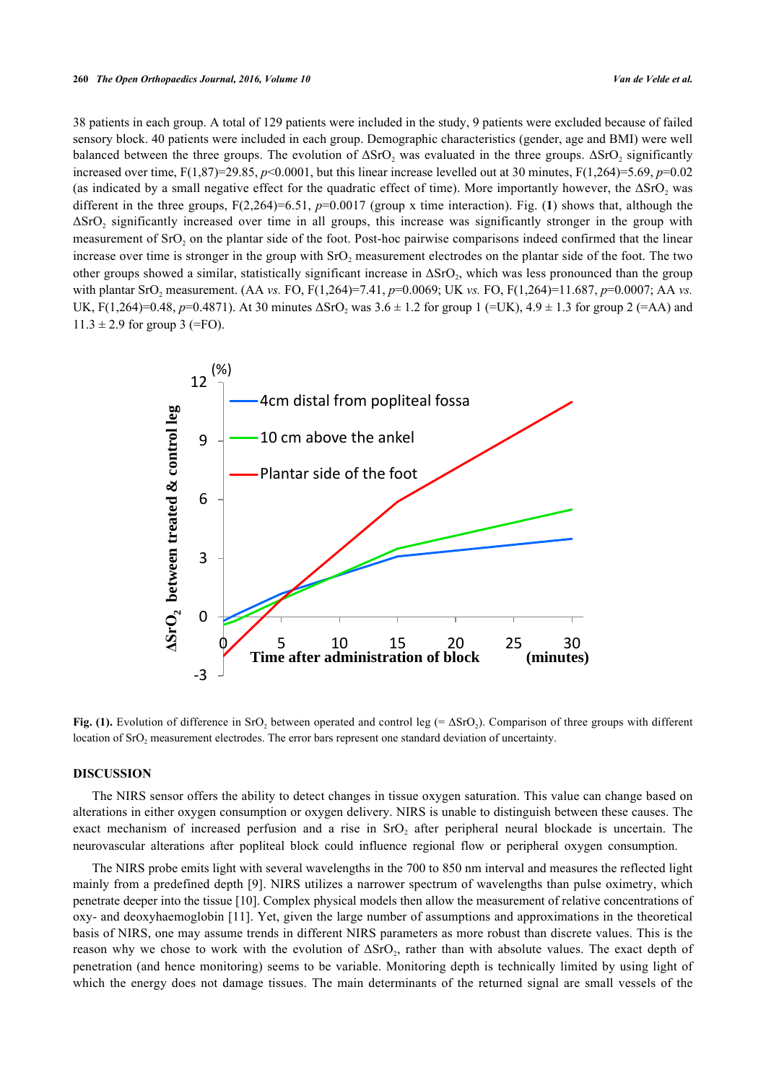38 patients in each group. A total of 129 patients were included in the study, 9 patients were excluded because of failed sensory block. 40 patients were included in each group. Demographic characteristics (gender, age and BMI) were well balanced between the three groups. The evolution of  $\Delta SrO_2$  was evaluated in the three groups.  $\Delta SrO_2$  significantly increased over time,  $F(1,87)=29.85$ ,  $p<0.0001$ , but this linear increase levelled out at 30 minutes,  $F(1,264)=5.69$ ,  $p=0.02$ (as indicated by a small negative effect for the quadratic effect of time). More importantly however, the  $\Delta S rO$ , was different in the three groups,  $F(2,264)=6.51$  $F(2,264)=6.51$ ,  $p=0.0017$  (group x time interaction). Fig. (1) shows that, although the  $\Delta$ SrO<sub>2</sub> significantly increased over time in all groups, this increase was significantly stronger in the group with measurement of SrO<sub>2</sub> on the plantar side of the foot. Post-hoc pairwise comparisons indeed confirmed that the linear increase over time is stronger in the group with SrO<sub>2</sub> measurement electrodes on the plantar side of the foot. The two other groups showed a similar, statistically significant increase in  $\Delta S rO_2$ , which was less pronounced than the group with plantar SrO<sub>2</sub> measurement. (AA *vs.* FO, F(1,264)=7.41, *p*=0.0069; UK *vs.* FO, F(1,264)=11.687, *p*=0.0007; AA *vs.* UK, F(1,264)=0.48,  $p=0.4871$ ). At 30 minutes  $\Delta$ SrO<sub>2</sub> was  $3.6 \pm 1.2$  for group 1 (=UK),  $4.9 \pm 1.3$  for group 2 (=AA) and  $11.3 \pm 2.9$  for group 3 (=FO).

<span id="page-2-0"></span>

Fig. (1). Evolution of difference in SrO<sub>2</sub> between operated and control leg (=  $\Delta$ SrO<sub>2</sub>). Comparison of three groups with different location of  $SrO<sub>2</sub>$  measurement electrodes. The error bars represent one standard deviation of uncertainty.

#### **DISCUSSION**

The NIRS sensor offers the ability to detect changes in tissue oxygen saturation. This value can change based on alterations in either oxygen consumption or oxygen delivery. NIRS is unable to distinguish between these causes. The exact mechanism of increased perfusion and a rise in  $SrO<sub>2</sub>$  after peripheral neural blockade is uncertain. The neurovascular alterations after popliteal block could influence regional flow or peripheral oxygen consumption.

The NIRS probe emits light with several wavelengths in the 700 to 850 nm interval and measures the reflected light mainly from a predefined depth [[9](#page-5-0)]. NIRS utilizes a narrower spectrum of wavelengths than pulse oximetry, which penetrate deeper into the tissue [\[10](#page-5-1)]. Complex physical models then allow the measurement of relative concentrations of oxy- and deoxyhaemoglobin [[11](#page-5-2)]. Yet, given the large number of assumptions and approximations in the theoretical basis of NIRS, one may assume trends in different NIRS parameters as more robust than discrete values. This is the reason why we chose to work with the evolution of  $\Delta SrO_2$ , rather than with absolute values. The exact depth of penetration (and hence monitoring) seems to be variable. Monitoring depth is technically limited by using light of which the energy does not damage tissues. The main determinants of the returned signal are small vessels of the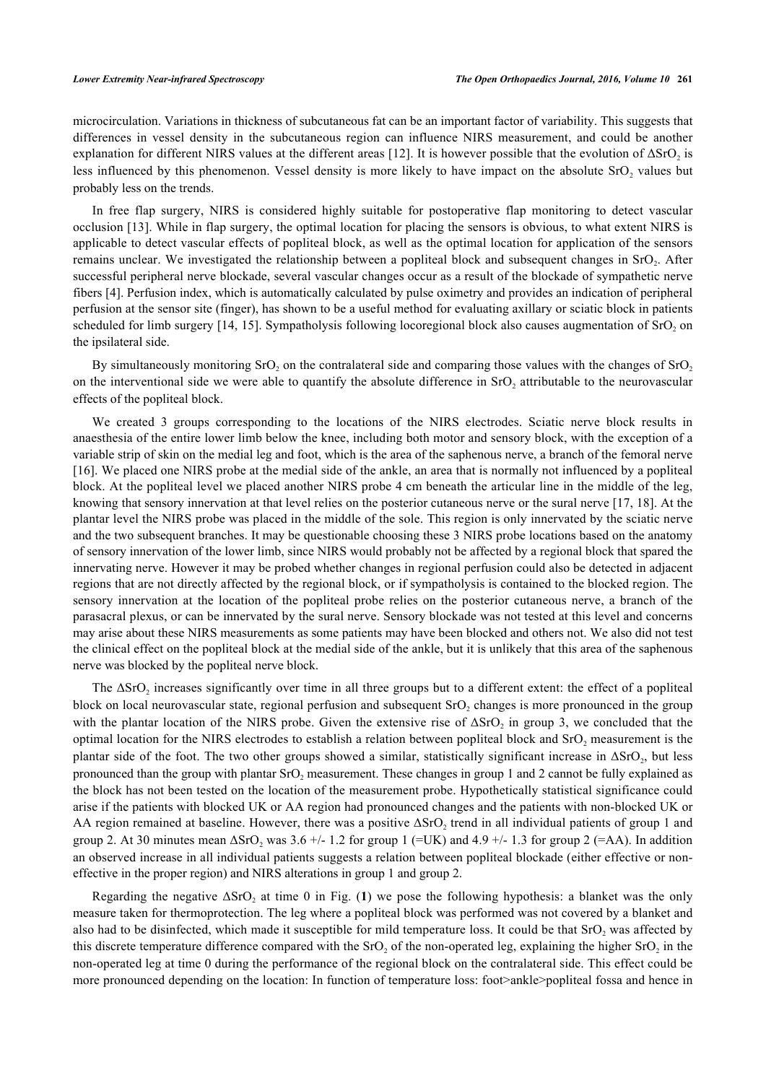microcirculation. Variations in thickness of subcutaneous fat can be an important factor of variability. This suggests that differences in vessel density in the subcutaneous region can influence NIRS measurement, and could be another explanation for different NIRS values at the different areas [\[12\]](#page-5-3). It is however possible that the evolution of  $\Delta$ SrO<sub>2</sub> is less influenced by this phenomenon. Vessel density is more likely to have impact on the absolute  $SrO<sub>2</sub>$  values but probably less on the trends.

In free flap surgery, NIRS is considered highly suitable for postoperative flap monitoring to detect vascular occlusion [\[13](#page-5-4)]. While in flap surgery, the optimal location for placing the sensors is obvious, to what extent NIRS is applicable to detect vascular effects of popliteal block, as well as the optimal location for application of the sensors remains unclear. We investigated the relationship between a popliteal block and subsequent changes in SrO<sub>2</sub>. After successful peripheral nerve blockade, several vascular changes occur as a result of the blockade of sympathetic nerve fibers [\[4](#page-4-3)]. Perfusion index, which is automatically calculated by pulse oximetry and provides an indication of peripheral perfusion at the sensor site (finger), has shown to be a useful method for evaluating axillary or sciatic block in patients scheduled for limb surgery [\[14](#page-5-5), [15\]](#page-5-6). Sympatholysis following locoregional block also causes augmentation of  $SrO<sub>2</sub>$  on the ipsilateral side.

By simultaneously monitoring SrO<sub>2</sub> on the contralateral side and comparing those values with the changes of SrO<sub>2</sub> on the interventional side we were able to quantify the absolute difference in  $SrO<sub>2</sub>$  attributable to the neurovascular effects of the popliteal block.

We created 3 groups corresponding to the locations of the NIRS electrodes. Sciatic nerve block results in anaesthesia of the entire lower limb below the knee, including both motor and sensory block, with the exception of a variable strip of skin on the medial leg and foot, which is the area of the saphenous nerve, a branch of the femoral nerve [\[16](#page-5-7)]. We placed one NIRS probe at the medial side of the ankle, an area that is normally not influenced by a popliteal block. At the popliteal level we placed another NIRS probe 4 cm beneath the articular line in the middle of the leg, knowing that sensory innervation at that level relies on the posterior cutaneous nerve or the sural nerve [[17,](#page-5-8) [18](#page-5-9)]. At the plantar level the NIRS probe was placed in the middle of the sole. This region is only innervated by the sciatic nerve and the two subsequent branches. It may be questionable choosing these 3 NIRS probe locations based on the anatomy of sensory innervation of the lower limb, since NIRS would probably not be affected by a regional block that spared the innervating nerve. However it may be probed whether changes in regional perfusion could also be detected in adjacent regions that are not directly affected by the regional block, or if sympatholysis is contained to the blocked region. The sensory innervation at the location of the popliteal probe relies on the posterior cutaneous nerve, a branch of the parasacral plexus, or can be innervated by the sural nerve. Sensory blockade was not tested at this level and concerns may arise about these NIRS measurements as some patients may have been blocked and others not. We also did not test the clinical effect on the popliteal block at the medial side of the ankle, but it is unlikely that this area of the saphenous nerve was blocked by the popliteal nerve block.

The  $\Delta$ SrO<sub>2</sub> increases significantly over time in all three groups but to a different extent: the effect of a popliteal block on local neurovascular state, regional perfusion and subsequent  $SrO<sub>2</sub>$  changes is more pronounced in the group with the plantar location of the NIRS probe. Given the extensive rise of  $\Delta SrO_2$  in group 3, we concluded that the optimal location for the NIRS electrodes to establish a relation between popliteal block and  $SrO<sub>2</sub>$  measurement is the plantar side of the foot. The two other groups showed a similar, statistically significant increase in  $\Delta$ SrO<sub>2</sub>, but less pronounced than the group with plantar  $SrO<sub>2</sub>$  measurement. These changes in group 1 and 2 cannot be fully explained as the block has not been tested on the location of the measurement probe. Hypothetically statistical significance could arise if the patients with blocked UK or AA region had pronounced changes and the patients with non-blocked UK or AA region remained at baseline. However, there was a positive  $\Delta SrO_2$  trend in all individual patients of group 1 and group 2. At 30 minutes mean  $\Delta$ SrO<sub>2</sub> was 3.6 +/- 1.2 for group 1 (=UK) and 4.9 +/- 1.3 for group 2 (=AA). In addition an observed increase in all individual patients suggests a relation between popliteal blockade (either effective or noneffective in the proper region) and NIRS alterations in group 1 and group 2.

Regarding the negative  $\Delta$ SrO<sub>2</sub> at time 0 in Fig. ([1](#page-2-0)) we pose the following hypothesis: a blanket was the only measure taken for thermoprotection. The leg where a popliteal block was performed was not covered by a blanket and also had to be disinfected, which made it susceptible for mild temperature loss. It could be that  $SrO<sub>2</sub>$  was affected by this discrete temperature difference compared with the SrO<sub>2</sub> of the non-operated leg, explaining the higher SrO<sub>2</sub> in the non-operated leg at time 0 during the performance of the regional block on the contralateral side. This effect could be more pronounced depending on the location: In function of temperature loss: foot>ankle>popliteal fossa and hence in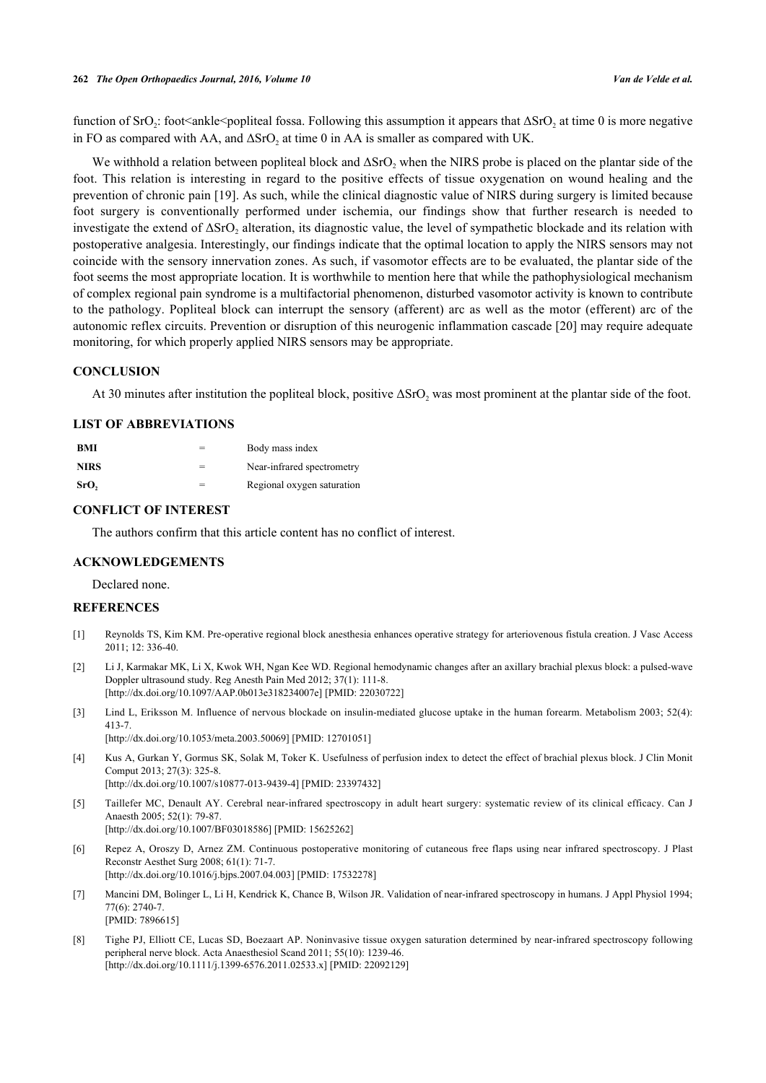function of SrO<sub>2</sub>: foot<ankle<popliteal fossa. Following this assumption it appears that  $\Delta$ SrO<sub>2</sub> at time 0 is more negative in FO as compared with AA, and  $\Delta$ SrO<sub>2</sub> at time 0 in AA is smaller as compared with UK.

We withhold a relation between popliteal block and  $\Delta$ SrO<sub>2</sub> when the NIRS probe is placed on the plantar side of the foot. This relation is interesting in regard to the positive effects of tissue oxygenation on wound healing and the prevention of chronic pain [[19](#page-5-10)]. As such, while the clinical diagnostic value of NIRS during surgery is limited because foot surgery is conventionally performed under ischemia, our findings show that further research is needed to investigate the extend of  $\Delta SrO_2$  alteration, its diagnostic value, the level of sympathetic blockade and its relation with postoperative analgesia. Interestingly, our findings indicate that the optimal location to apply the NIRS sensors may not coincide with the sensory innervation zones. As such, if vasomotor effects are to be evaluated, the plantar side of the foot seems the most appropriate location. It is worthwhile to mention here that while the pathophysiological mechanism of complex regional pain syndrome is a multifactorial phenomenon, disturbed vasomotor activity is known to contribute to the pathology. Popliteal block can interrupt the sensory (afferent) arc as well as the motor (efferent) arc of the autonomic reflex circuits. Prevention or disruption of this neurogenic inflammation cascade [\[20](#page-5-11)] may require adequate monitoring, for which properly applied NIRS sensors may be appropriate.

#### **CONCLUSION**

At 30 minutes after institution the popliteal block, positive  $\Delta$ SrO<sub>2</sub> was most prominent at the plantar side of the foot.

### **LIST OF ABBREVIATIONS**

| <b>BMI</b>  |     | Body mass index            |
|-------------|-----|----------------------------|
| <b>NIRS</b> | $=$ | Near-infrared spectrometry |
| SrO,        | $=$ | Regional oxygen saturation |

#### **CONFLICT OF INTEREST**

The authors confirm that this article content has no conflict of interest.

#### **ACKNOWLEDGEMENTS**

Declared none.

#### **REFERENCES**

- <span id="page-4-0"></span>[1] Reynolds TS, Kim KM. Pre-operative regional block anesthesia enhances operative strategy for arteriovenous fistula creation. J Vasc Access 2011; 12: 336-40.
- <span id="page-4-1"></span>[2] Li J, Karmakar MK, Li X, Kwok WH, Ngan Kee WD. Regional hemodynamic changes after an axillary brachial plexus block: a pulsed-wave Doppler ultrasound study. Reg Anesth Pain Med 2012; 37(1): 111-8. [\[http://dx.doi.org/10.1097/AAP.0b013e318234007e\]](http://dx.doi.org/10.1097/AAP.0b013e318234007e) [PMID: [22030722](http://www.ncbi.nlm.nih.gov/pubmed/22030722)]
- <span id="page-4-2"></span>[3] Lind L, Eriksson M. Influence of nervous blockade on insulin-mediated glucose uptake in the human forearm. Metabolism 2003; 52(4): 413-7.

[\[http://dx.doi.org/10.1053/meta.2003.50069](http://dx.doi.org/10.1053/meta.2003.50069)] [PMID: [12701051\]](http://www.ncbi.nlm.nih.gov/pubmed/12701051)

- <span id="page-4-3"></span>[4] Kus A, Gurkan Y, Gormus SK, Solak M, Toker K. Usefulness of perfusion index to detect the effect of brachial plexus block. J Clin Monit Comput 2013; 27(3): 325-8. [\[http://dx.doi.org/10.1007/s10877-013-9439-4\]](http://dx.doi.org/10.1007/s10877-013-9439-4) [PMID: [23397432](http://www.ncbi.nlm.nih.gov/pubmed/23397432)]
- <span id="page-4-4"></span>[5] Taillefer MC, Denault AY. Cerebral near-infrared spectroscopy in adult heart surgery: systematic review of its clinical efficacy. Can J Anaesth 2005; 52(1): 79-87. [\[http://dx.doi.org/10.1007/BF03018586\]](http://dx.doi.org/10.1007/BF03018586) [PMID: [15625262](http://www.ncbi.nlm.nih.gov/pubmed/15625262)]
- <span id="page-4-5"></span>[6] Repez A, Oroszy D, Arnez ZM. Continuous postoperative monitoring of cutaneous free flaps using near infrared spectroscopy. J Plast Reconstr Aesthet Surg 2008; 61(1): 71-7. [\[http://dx.doi.org/10.1016/j.bjps.2007.04.003](http://dx.doi.org/10.1016/j.bjps.2007.04.003)] [PMID: [17532278\]](http://www.ncbi.nlm.nih.gov/pubmed/17532278)
- <span id="page-4-6"></span>[7] Mancini DM, Bolinger L, Li H, Kendrick K, Chance B, Wilson JR. Validation of near-infrared spectroscopy in humans. J Appl Physiol 1994; 77(6): 2740-7. [PMID: [7896615\]](http://www.ncbi.nlm.nih.gov/pubmed/7896615)
- <span id="page-4-7"></span>[8] Tighe PJ, Elliott CE, Lucas SD, Boezaart AP. Noninvasive tissue oxygen saturation determined by near-infrared spectroscopy following peripheral nerve block. Acta Anaesthesiol Scand 2011; 55(10): 1239-46. [\[http://dx.doi.org/10.1111/j.1399-6576.2011.02533.x\]](http://dx.doi.org/10.1111/j.1399-6576.2011.02533.x) [PMID: [22092129](http://www.ncbi.nlm.nih.gov/pubmed/22092129)]